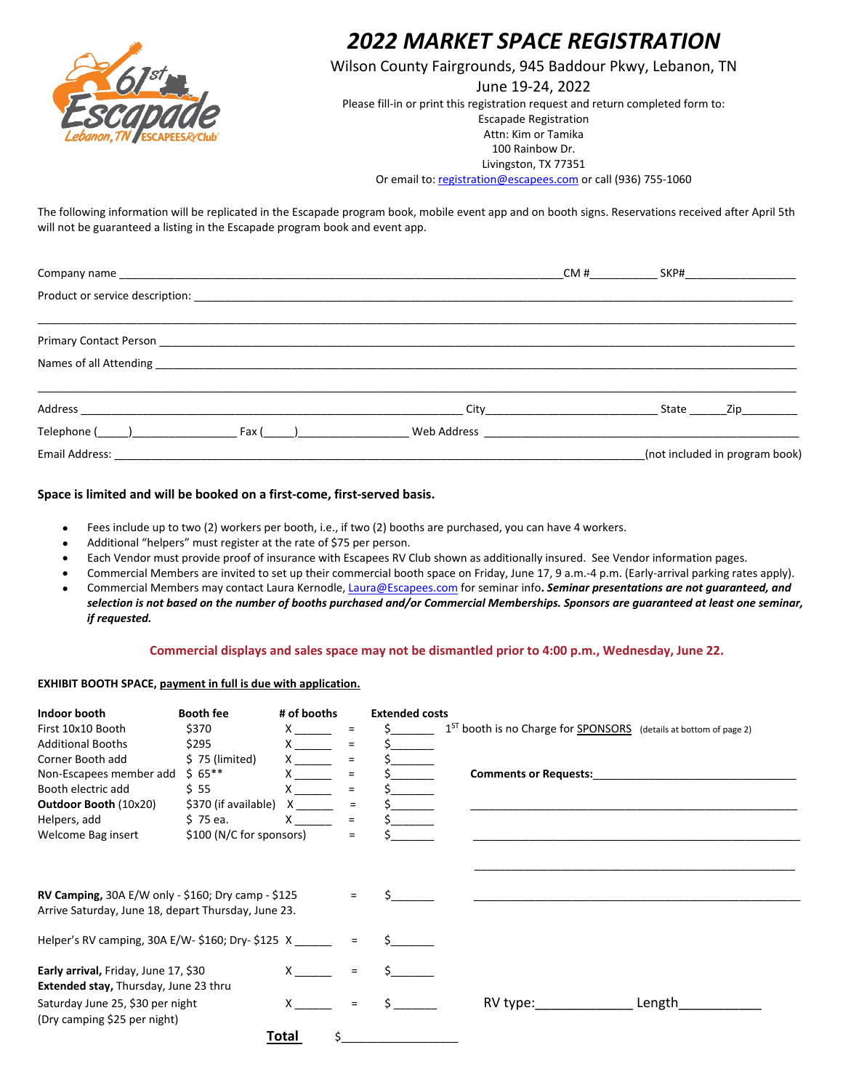

### *2022 MARKET SPACE REGISTRATION*

Wilson County Fairgrounds, 945 Baddour Pkwy, Lebanon, TN

June 19-24, 2022 Please fill-in or print this registration request and return completed form to: Escapade Registration Attn: Kim or Tamika 100 Rainbow Dr. Livingston, TX 77351

Or email to: [registration@escapees.com](mailto:registration@escapees.com) or call (936) 755-1060

The following information will be replicated in the Escapade program book, mobile event app and on booth signs. Reservations received after April 5th will not be guaranteed a listing in the Escapade program book and event app.

|  | CM#                                                                                                            | SKP#________________________                                                                                           |
|--|----------------------------------------------------------------------------------------------------------------|------------------------------------------------------------------------------------------------------------------------|
|  |                                                                                                                |                                                                                                                        |
|  |                                                                                                                |                                                                                                                        |
|  |                                                                                                                |                                                                                                                        |
|  | City in the contract of the contract of the contract of the contract of the contract of the contract of the co | State<br>Zip in the set of the set of the set of the set of the set of the set of the set of the set of the set of the |
|  |                                                                                                                |                                                                                                                        |
|  |                                                                                                                | (not included in program book)                                                                                         |

#### **Space is limited and will be booked on a first-come, first-served basis.**

- Fees include up to two (2) workers per booth, i.e., if two (2) booths are purchased, you can have 4 workers.
- Additional "helpers" must register at the rate of \$75 per person.
- Each Vendor must provide proof of insurance with Escapees RV Club shown as additionally insured. See Vendor information pages.
- Commercial Members are invited to set up their commercial booth space on Friday, June 17, 9 a.m.-4 p.m. (Early-arrival parking rates apply).
- Commercial Members may contact Laura Kernodle[, Laura@Escapees.com](mailto:Laura@Escapees.com) for seminar info**.** *Seminar presentations are not guaranteed, and selection is not based on the number of booths purchased and/or Commercial Memberships. Sponsors are guaranteed at least one seminar, if requested.*

#### **Commercial displays and sales space may not be dismantled prior to 4:00 p.m., Wednesday, June 22.**

#### **EXHIBIT BOOTH SPACE, payment in full is due with application.**

| Indoor booth                                                                                              | <b>Booth fee</b>         | # of booths                                                                                                                                                                                                                                                                                                                                                          |                                | <b>Extended costs</b> |                                                                     |
|-----------------------------------------------------------------------------------------------------------|--------------------------|----------------------------------------------------------------------------------------------------------------------------------------------------------------------------------------------------------------------------------------------------------------------------------------------------------------------------------------------------------------------|--------------------------------|-----------------------|---------------------------------------------------------------------|
| First 10x10 Booth                                                                                         | \$370                    | $\mathsf{X}$ and $\mathsf{X}$ and $\mathsf{X}$ are $\mathsf{X}$ and $\mathsf{X}$ are $\mathsf{X}$ and $\mathsf{X}$ are $\mathsf{X}$ and $\mathsf{X}$ are $\mathsf{X}$ and $\mathsf{X}$ are $\mathsf{X}$ and $\mathsf{X}$ are $\mathsf{X}$ and $\mathsf{X}$ are $\mathsf{X}$ and $\mathsf{X}$ are                                                                     | Ξ                              |                       | $1ST$ booth is no Charge for SPONSORS (details at bottom of page 2) |
| <b>Additional Booths</b>                                                                                  | \$295                    | $\boldsymbol{X}$ and $\boldsymbol{X}$ and $\boldsymbol{X}$ and $\boldsymbol{X}$ and $\boldsymbol{X}$ and $\boldsymbol{X}$ and $\boldsymbol{X}$ and $\boldsymbol{X}$ and $\boldsymbol{X}$ and $\boldsymbol{X}$ and $\boldsymbol{X}$ and $\boldsymbol{X}$ and $\boldsymbol{X}$ and $\boldsymbol{X}$ and $\boldsymbol{X}$ and $\boldsymbol{X}$ and $\boldsymbol{X}$ and | $=$                            |                       |                                                                     |
| Corner Booth add                                                                                          | $$75$ (limited)          | $x \sim$                                                                                                                                                                                                                                                                                                                                                             |                                |                       |                                                                     |
| Non-Escapees member add                                                                                   | $$65***$                 |                                                                                                                                                                                                                                                                                                                                                                      |                                |                       | <b>Comments or Requests:</b>                                        |
| Booth electric add                                                                                        | \$ 55                    |                                                                                                                                                                                                                                                                                                                                                                      | $=$                            |                       |                                                                     |
| <b>Outdoor Booth (10x20)</b>                                                                              | \$370 (if available) X   |                                                                                                                                                                                                                                                                                                                                                                      | =                              |                       |                                                                     |
| Helpers, add                                                                                              | $$75$ ea.                | X                                                                                                                                                                                                                                                                                                                                                                    | $=$                            |                       |                                                                     |
| Welcome Bag insert                                                                                        | \$100 (N/C for sponsors) |                                                                                                                                                                                                                                                                                                                                                                      | $\equiv$                       |                       |                                                                     |
| RV Camping, 30A E/W only - \$160; Dry camp - \$125<br>Arrive Saturday, June 18, depart Thursday, June 23. |                          |                                                                                                                                                                                                                                                                                                                                                                      | $=$                            |                       |                                                                     |
| Helper's RV camping, 30A E/W- \$160; Dry- \$125 X                                                         |                          |                                                                                                                                                                                                                                                                                                                                                                      |                                |                       |                                                                     |
| Early arrival, Friday, June 17, \$30<br><b>Extended stay, Thursday, June 23 thru</b>                      |                          | $\mathsf{X}$ and $\mathsf{X}$ and $\mathsf{X}$ are $\mathsf{X}$ and $\mathsf{X}$ are $\mathsf{X}$ and $\mathsf{X}$ are $\mathsf{X}$ and $\mathsf{X}$ are $\mathsf{X}$ and $\mathsf{X}$ are $\mathsf{X}$ and $\mathsf{X}$ are $\mathsf{X}$ and $\mathsf{X}$ are $\mathsf{X}$ and $\mathsf{X}$ are                                                                     | $=$                            |                       |                                                                     |
| Saturday June 25, \$30 per night<br>(Dry camping \$25 per night)                                          |                          |                                                                                                                                                                                                                                                                                                                                                                      | $\qquad \qquad =\qquad \qquad$ |                       | Length<br>$RV$ type:                                                |
|                                                                                                           |                          | Total<br>Ś.                                                                                                                                                                                                                                                                                                                                                          |                                |                       |                                                                     |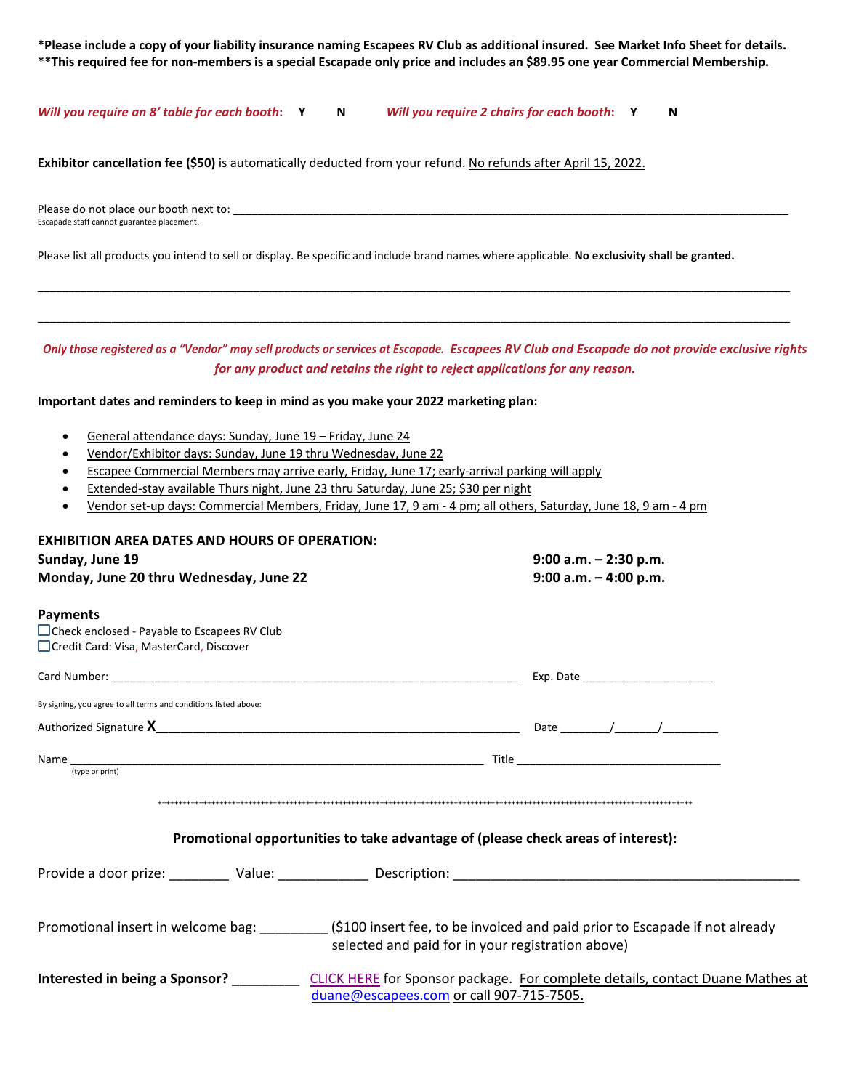**\*Please include a copy of your liability insurance naming Escapees RV Club as additional insured. See Market Info Sheet for details. \*\*This required fee for non-members is a special Escapade only price and includes an \$89.95 one year Commercial Membership.** 

*Will you require an 8' table for each booth***: Y N** *Will you require 2 chairs for each booth***: Y N**

**Exhibitor cancellation fee (\$50)** is automatically deducted from your refund. No refunds after April 15, 2022.

Please do not place our booth next to: Escapade staff cannot guarantee placement.

Please list all products you intend to sell or display. Be specific and include brand names where applicable. **No exclusivity shall be granted.**

*Only those registered as a "Vendor" may sell products or services at Escapade. Escapees RV Club and Escapade do not provide exclusive rights for any product and retains the right to reject applications for any reason.*

\_\_\_\_\_\_\_\_\_\_\_\_\_\_\_\_\_\_\_\_\_\_\_\_\_\_\_\_\_\_\_\_\_\_\_\_\_\_\_\_\_\_\_\_\_\_\_\_\_\_\_\_\_\_\_\_\_\_\_\_\_\_\_\_\_\_\_\_\_\_\_\_\_\_\_\_\_\_\_\_\_\_\_\_\_\_\_\_\_\_\_\_\_\_\_\_\_\_\_\_\_\_\_\_\_\_\_\_\_\_\_\_\_\_\_\_\_\_\_\_\_\_

\_\_\_\_\_\_\_\_\_\_\_\_\_\_\_\_\_\_\_\_\_\_\_\_\_\_\_\_\_\_\_\_\_\_\_\_\_\_\_\_\_\_\_\_\_\_\_\_\_\_\_\_\_\_\_\_\_\_\_\_\_\_\_\_\_\_\_\_\_\_\_\_\_\_\_\_\_\_\_\_\_\_\_\_\_\_\_\_\_\_\_\_\_\_\_\_\_\_\_\_\_\_\_\_\_\_\_\_\_\_\_\_\_\_\_\_\_\_\_\_\_\_

#### **Important dates and reminders to keep in mind as you make your 2022 marketing plan:**

- General attendance days: Sunday, June 19 Friday, June 24
- Vendor/Exhibitor days: Sunday, June 19 thru Wednesday, June 22
- Escapee Commercial Members may arrive early, Friday, June 17; early-arrival parking will apply
- Extended-stay available Thurs night, June 23 thru Saturday, June 25; \$30 per night
- Vendor set-up days: Commercial Members, Friday, June 17, 9 am 4 pm; all others, Saturday, June 18, 9 am 4 pm

| <b>EXHIBITION AREA DATES AND HOURS OF OPERATION:</b>                                                                   |  |                                                                                                                           |                          |  |  |
|------------------------------------------------------------------------------------------------------------------------|--|---------------------------------------------------------------------------------------------------------------------------|--------------------------|--|--|
| Sunday, June 19                                                                                                        |  |                                                                                                                           | $9:00$ a.m. $-2:30$ p.m. |  |  |
| Monday, June 20 thru Wednesday, June 22                                                                                |  | $9:00$ a.m. $-4:00$ p.m.                                                                                                  |                          |  |  |
| <b>Payments</b>                                                                                                        |  |                                                                                                                           |                          |  |  |
| $\Box$ Check enclosed - Payable to Escapees RV Club                                                                    |  |                                                                                                                           |                          |  |  |
| Credit Card: Visa, MasterCard, Discover                                                                                |  |                                                                                                                           |                          |  |  |
|                                                                                                                        |  |                                                                                                                           |                          |  |  |
| By signing, you agree to all terms and conditions listed above:                                                        |  |                                                                                                                           |                          |  |  |
|                                                                                                                        |  |                                                                                                                           |                          |  |  |
| Name $\frac{1}{(type or print)}$                                                                                       |  |                                                                                                                           |                          |  |  |
|                                                                                                                        |  | Promotional opportunities to take advantage of (please check areas of interest):                                          |                          |  |  |
| Provide a door prize: Value: Description: Description:                                                                 |  |                                                                                                                           |                          |  |  |
| Promotional insert in welcome bag: ________(\$100 insert fee, to be invoiced and paid prior to Escapade if not already |  | selected and paid for in your registration above)                                                                         |                          |  |  |
| Interested in being a Sponsor? ________                                                                                |  | CLICK HERE for Sponsor package. For complete details, contact Duane Mathes at<br>duane@escapees.com or call 907-715-7505. |                          |  |  |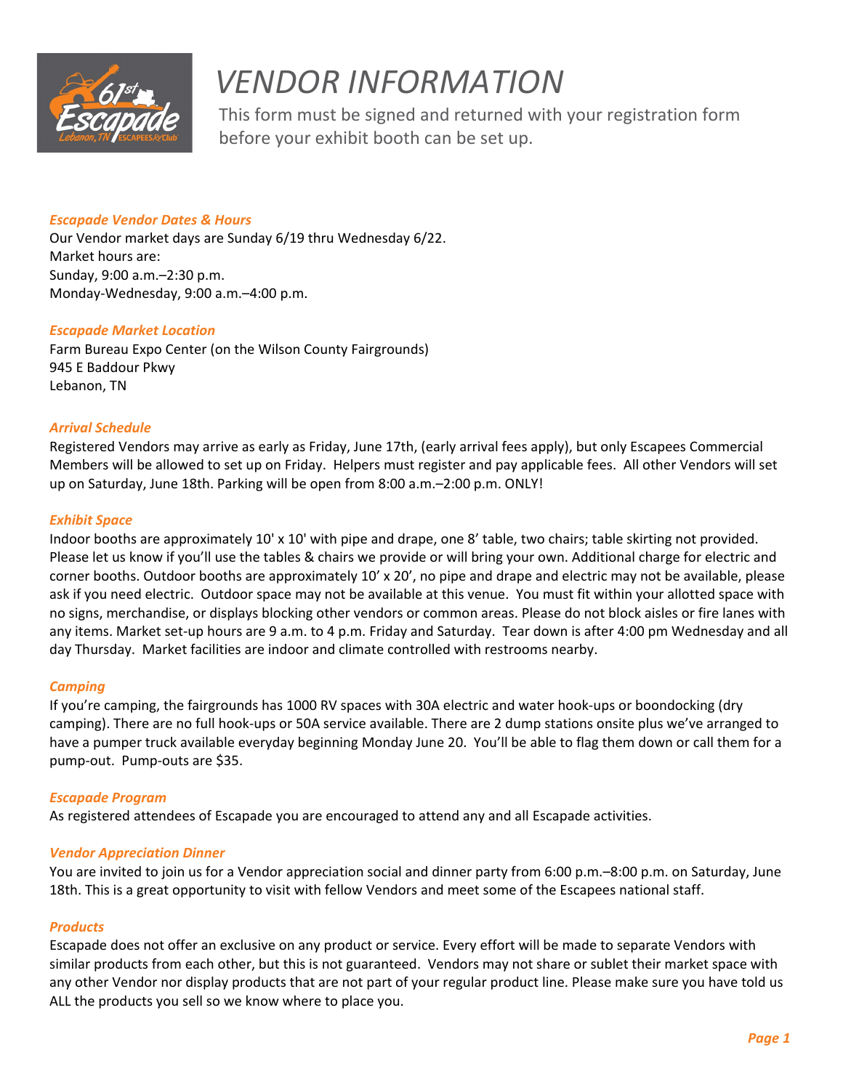

# *VENDOR INFORMATION*

This form must be signed and returned with your registration form before your exhibit booth can be set up.

#### *Escapade Vendor Dates & Hours*

Our Vendor market days are Sunday 6/19 thru Wednesday 6/22. Market hours are: Sunday, 9:00 a.m.–2:30 p.m. Monday-Wednesday, 9:00 a.m.–4:00 p.m.

#### *Escapade Market Location*

Farm Bureau Expo Center (on the Wilson County Fairgrounds) 945 E Baddour Pkwy Lebanon, TN

#### *Arrival Schedule*

Registered Vendors may arrive as early as Friday, June 17th, (early arrival fees apply), but only Escapees Commercial Members will be allowed to set up on Friday. Helpers must register and pay applicable fees. All other Vendors will set up on Saturday, June 18th. Parking will be open from 8:00 a.m.–2:00 p.m. ONLY!

#### *Exhibit Space*

Indoor booths are approximately 10' x 10' with pipe and drape, one 8' table, two chairs; table skirting not provided. Please let us know if you'll use the tables & chairs we provide or will bring your own. Additional charge for electric and corner booths. Outdoor booths are approximately 10' x 20', no pipe and drape and electric may not be available, please ask if you need electric. Outdoor space may not be available at this venue. You must fit within your allotted space with no signs, merchandise, or displays blocking other vendors or common areas. Please do not block aisles or fire lanes with any items. Market set-up hours are 9 a.m. to 4 p.m. Friday and Saturday. Tear down is after 4:00 pm Wednesday and all day Thursday. Market facilities are indoor and climate controlled with restrooms nearby.

#### *Camping*

If you're camping, the fairgrounds has 1000 RV spaces with 30A electric and water hook-ups or boondocking (dry camping). There are no full hook-ups or 50A service available. There are 2 dump stations onsite plus we've arranged to have a pumper truck available everyday beginning Monday June 20. You'll be able to flag them down or call them for a pump-out. Pump-outs are \$35.

#### *Escapade Program*

As registered attendees of Escapade you are encouraged to attend any and all Escapade activities.

#### *Vendor Appreciation Dinner*

You are invited to join us for a Vendor appreciation social and dinner party from 6:00 p.m.–8:00 p.m. on Saturday, June 18th. This is a great opportunity to visit with fellow Vendors and meet some of the Escapees national staff.

#### *Products*

Escapade does not offer an exclusive on any product or service. Every effort will be made to separate Vendors with similar products from each other, but this is not guaranteed. Vendors may not share or sublet their market space with any other Vendor nor display products that are not part of your regular product line. Please make sure you have told us ALL the products you sell so we know where to place you.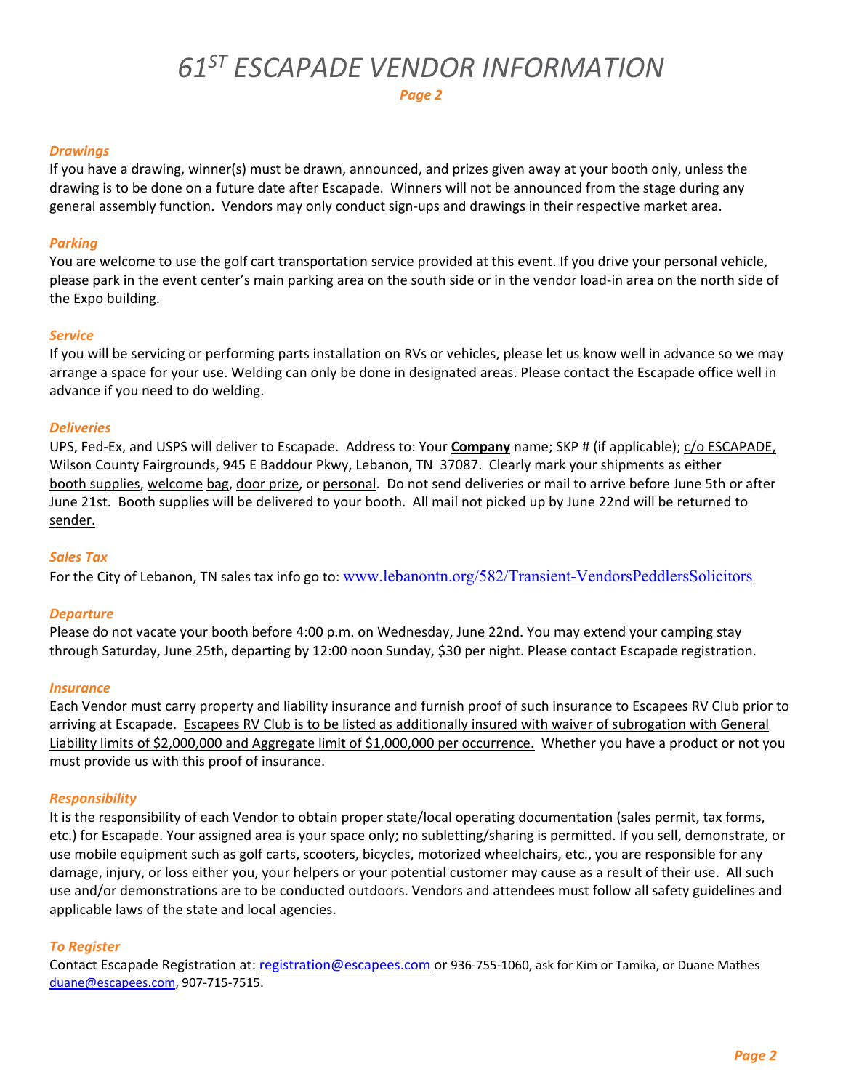## *61ST ESCAPADE VENDOR INFORMATION*

#### *Drawings*

If you have a drawing, winner(s) must be drawn, announced, and prizes given away at your booth only, unless the drawing is to be done on a future date after Escapade. Winners will not be announced from the stage during any general assembly function. Vendors may only conduct sign-ups and drawings in their respective market area.

#### *Parking*

You are welcome to use the golf cart transportation service provided at this event. If you drive your personal vehicle, please park in the event center's main parking area on the south side or in the vendor load-in area on the north side of the Expo building.

#### *Service*

If you will be servicing or performing parts installation on RVs or vehicles, please let us know well in advance so we may arrange a space for your use. Welding can only be done in designated areas. Please contact the Escapade office well in advance if you need to do welding.

#### *Deliveries*

UPS, Fed-Ex, and USPS will deliver to Escapade. Address to: Your **Company** name; SKP # (if applicable); c/o ESCAPADE, Wilson County Fairgrounds, 945 E Baddour Pkwy, Lebanon, TN 37087. Clearly mark your shipments as either booth supplies, welcome bag, door prize, or personal. Do not send deliveries or mail to arrive before June 5th or after June 21st. Booth supplies will be delivered to your booth. All mail not picked up by June 22nd will be returned to sender.

#### *Sales Tax*

For the City of Lebanon, TN sales tax info go to: [www.lebanontn.org/582/Transient-VendorsPeddlersSolicitors](http://www.lebanontn.org/582/Transient-VendorsPeddlersSolicitors)

#### *Departure*

Please do not vacate your booth before 4:00 p.m. on Wednesday, June 22nd. You may extend your camping stay through Saturday, June 25th, departing by 12:00 noon Sunday, \$30 per night. Please contact Escapade registration.

#### *Insurance*

Each Vendor must carry property and liability insurance and furnish proof of such insurance to Escapees RV Club prior to arriving at Escapade. Escapees RV Club is to be listed as additionally insured with waiver of subrogation with General Liability limits of \$2,000,000 and Aggregate limit of \$1,000,000 per occurrence. Whether you have a product or not you must provide us with this proof of insurance.

#### *Responsibility*

It is the responsibility of each Vendor to obtain proper state/local operating documentation (sales permit, tax forms, etc.) for Escapade. Your assigned area is your space only; no subletting/sharing is permitted. If you sell, demonstrate, or use mobile equipment such as golf carts, scooters, bicycles, motorized wheelchairs, etc., you are responsible for any damage, injury, or loss either you, your helpers or your potential customer may cause as a result of their use. All such use and/or demonstrations are to be conducted outdoors. Vendors and attendees must follow all safety guidelines and applicable laws of the state and local agencies.

#### *To Register*

Contact Escapade Registration at: [registration@escapees.com](mailto:registration@escapees.com) or 936-755-1060, ask for Kim or Tamika, or Duane Mathes [duane@escapees.com,](mailto:duane@escapees.com) 907-715-7515.

*Page 2*